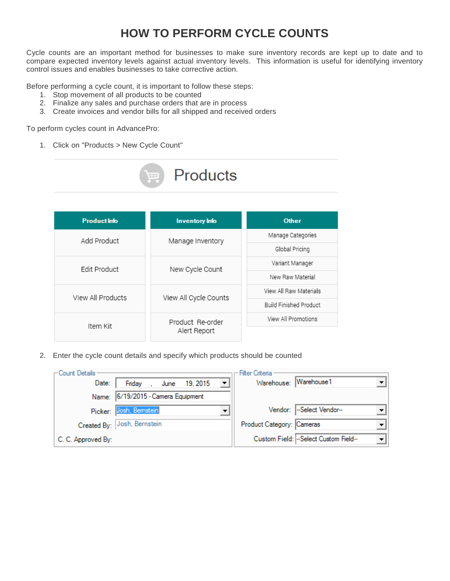## **HOW TO PERFORM CYCLE COUNTS**

Cycle counts are an important method for businesses to make sure inventory records are kept up to date and to compare expected inventory levels against actual inventory levels. This information is useful for identifying inventory control issues and enables businesses to take corrective action.

Before performing a cycle count, it is important to follow these steps:

- 1. Stop movement of all products to be counted
- 2. Finalize any sales and purchase orders that are in process
- 3. Create invoices and vendor bills for all shipped and received orders

To perform cycles count in AdvancePro:

1. Click on "Products > New Cycle Count"



**Products** 

2. Enter the cycle count details and specify which products should be counted

| ←Count Details -   |                                                   | Filter Criteria           |                                      |
|--------------------|---------------------------------------------------|---------------------------|--------------------------------------|
| Date:              | $\blacktriangledown$<br>, June 19, 2015<br>Friday |                           | Warehouse: Warehouse1                |
|                    | Name: 6/19/2015 - Camera Equipment                |                           |                                      |
|                    | Picker: Josh, Bemstein                            |                           | Vendor: -Select Vendor--             |
|                    | Created By: Josh, Bernstein                       | Product Category: Cameras |                                      |
| C. C. Approved By: |                                                   |                           | Custom Field: -Select Custom Field-- |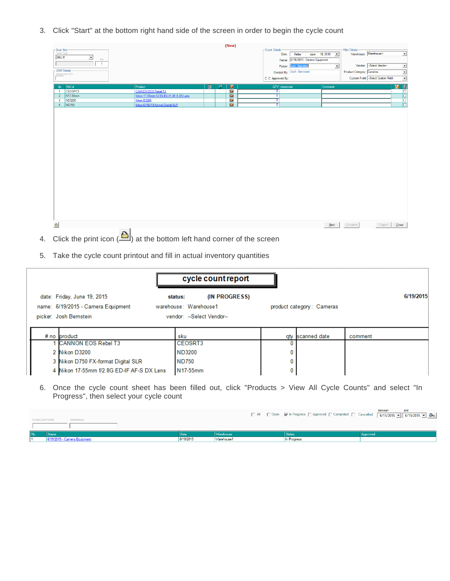3. Click "Start" at the bottom right hand side of the screen in order to begin the cycle count

|                                                           |                                         |             |   | (New)                |                         |                                    |         |                           |                                     |                          |
|-----------------------------------------------------------|-----------------------------------------|-------------|---|----------------------|-------------------------|------------------------------------|---------|---------------------------|-------------------------------------|--------------------------|
| - Scan Box                                                |                                         |             |   |                      | Count Details           |                                    |         | Filter Criteria           |                                     |                          |
| Scan Type                                                 |                                         |             |   |                      | Date:                   | Friday , June 19, 2015             |         | Warehouse: Warehouse1     |                                     | $\overline{ }$           |
| SKU#<br>ᅬ<br>Oty                                          |                                         |             |   |                      |                         | Name: 6/19/2015 - Camera Equipment |         |                           |                                     |                          |
| $\overline{1}$                                            |                                         |             |   |                      | Picker:                 | Josh, Bemstein                     | ᅬ       |                           | Vendor: -Select Vendor-             | <b>z</b>                 |
| - UOM Details -                                           |                                         |             |   |                      |                         | Created By: Josh, Bernstein        |         | Product Category: Cameras |                                     | $\overline{\phantom{0}}$ |
| BreakDown QTY                                             |                                         |             |   |                      | C. C. Approved By:      |                                    |         |                           | Custom Field: -Select Custom Field- | $\overline{\phantom{0}}$ |
|                                                           |                                         |             |   |                      |                         |                                    |         |                           |                                     |                          |
| $\sqrt{\left \text{SKU }\right _{\text{F}}}$<br><b>No</b> | Product                                 | $\boxed{5}$ | 爾 | 廖                    | QTY shortcode           |                                    | Comment |                           |                                     | 日间                       |
| CEOSRT3<br>$\overline{1}$                                 | CANNON EOS Rebel T3                     |             |   | $\overline{\bullet}$ | $\circ$                 |                                    |         |                           |                                     |                          |
| N17-55mm<br>$\overline{2}$                                | Nikon 17-55mm f/2.8G ED-IF AF-S DX Lens |             |   | Ø                    | ᠊ᢐ                      |                                    |         |                           |                                     | E                        |
| ND3200<br>$\overline{\mathbf{3}}$                         | Nikon D3200                             |             |   | G                    | $\overline{\mathbf{0}}$ |                                    |         |                           |                                     |                          |
| ND750<br>$\frac{4}{7}$                                    | Nikon D750 FX-format Digital SLR        |             |   | $\bullet$            | न                       |                                    |         |                           |                                     | E                        |
|                                                           |                                         |             |   |                      |                         |                                    |         |                           |                                     |                          |
| $\triangleq$                                              |                                         |             |   |                      |                         |                                    | Start   | Complete                  | Cancel                              | Close                    |
| $\mathbf{r}$                                              |                                         |             |   |                      |                         |                                    |         |                           |                                     |                          |

- 4. Click the print icon  $\left($ **b**) at the bottom left hand corner of the screen
- 5. Take the cycle count printout and fill in actual inventory quantities

|                                                                                             | cycle count report                                                             |                           |           |
|---------------------------------------------------------------------------------------------|--------------------------------------------------------------------------------|---------------------------|-----------|
| date: Friday, June 19, 2015<br>name: 6/19/2015 - Camera Equipment<br>picker: Josh Bernstein | (IN PROGRESS)<br>status:<br>warehouse: Warehouse1<br>vendor: --Select Vendor-- | product category: Cameras | 6/19/2015 |
| $# no$ product                                                                              | sku                                                                            | gty scanned date          | comment   |
| <b>CANNON EOS Rebel T3</b>                                                                  | CEOSRT3                                                                        |                           |           |
| 2 Nikon D3200                                                                               | ND3200                                                                         |                           |           |
| 3 Nikon D750 FX-format Digital SLR                                                          | <b>ND750</b>                                                                   |                           |           |
| 4 Nikon 17-55mm f/2.8G ED-IF AF-S DX Lens                                                   | N17-55mm                                                                       |                           |           |

6. Once the cycle count sheet has been filled out, click "Products > View All Cycle Counts" and select "In Progress", then select your cycle count

| CycleCount Name | Warehouse                    |           |            |               | □ All □ Open   In Progress   Approved   Completed   Cancelled   6/19/2015   8/19/2015   © 0 |
|-----------------|------------------------------|-----------|------------|---------------|---------------------------------------------------------------------------------------------|
|                 |                              |           |            |               |                                                                                             |
|                 | Name                         |           | Warehouse  | <b>Status</b> | Approved                                                                                    |
|                 | 6/19/2015 - Camera Equipment | 6/19/2015 | Warehouse1 | In Progress   |                                                                                             |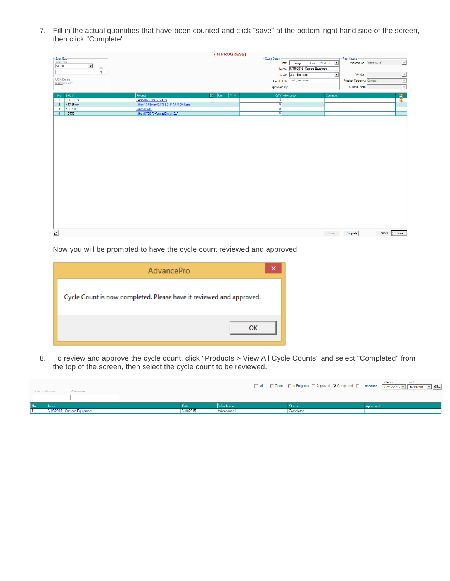7. Fill in the actual quantities that have been counted and click "save" at the bottom right hand side of the screen, then click "Complete"

|                                |                |                                         |             | (IN PROGRESS) |        |                           |                                    |         |                           |                          |
|--------------------------------|----------------|-----------------------------------------|-------------|---------------|--------|---------------------------|------------------------------------|---------|---------------------------|--------------------------|
| Scan Box<br>Scan Type<br>SKU # |                |                                         |             |               |        | Count Details             |                                    |         | Filter Criteria           |                          |
|                                | ᅬ              |                                         |             |               |        | Date:                     | Friday , June 19, 2015             |         | Warehouse: Warehouse1     | $\overline{\phantom{a}}$ |
|                                | Oty            |                                         |             |               |        |                           | Name: 6/19/2015 - Camera Equipment |         |                           |                          |
|                                | $\overline{1}$ |                                         |             |               |        |                           | Picker: Josh, Bemstein             | ᅬ       | Vendor:                   | $\overline{z}$           |
| - UOM Details -                |                |                                         |             |               |        |                           | Created By: Josh, Bernstein        |         | Product Category: Cameras | $\overline{\phantom{a}}$ |
|                                | BreakDown QTY  |                                         |             |               |        | C. C. Approved By:        |                                    |         | Custom Field:             | $\overline{\phantom{a}}$ |
|                                |                |                                         |             |               |        |                           |                                    |         |                           |                          |
|                                | $No$ SKU#      | Product                                 | $\boxed{5}$ | Unit          | PickL. | QTY shortcode             |                                    | Comment |                           | $\frac{1}{6}$            |
| $\overline{1}$                 | CEOSRT3        | <b>CANNON EOS Rebel T3</b>              |             |               |        | $\overline{10}$           |                                    |         |                           |                          |
| 2 <sup>7</sup>                 | N17-55mm       | Nikon 17-55mm f/2.8G ED-IF AF-S DX Lens |             |               |        | $\overline{\mathfrak{o}}$ |                                    |         |                           |                          |
| $\overline{\mathbf{3}}$        | ND3200         | Nikon D3200                             |             |               |        | ⊽                         |                                    |         |                           |                          |
| $4 -$                          | ND750          | Nikon D750 FX-format Digital SLR        |             |               |        | न                         |                                    |         |                           |                          |
|                                |                |                                         |             |               |        |                           |                                    |         |                           |                          |
|                                |                |                                         |             |               |        |                           |                                    |         |                           |                          |
|                                |                |                                         |             |               |        |                           |                                    |         |                           |                          |
|                                |                |                                         |             |               |        |                           |                                    |         |                           |                          |
|                                |                |                                         |             |               |        |                           |                                    |         |                           |                          |
|                                |                |                                         |             |               |        |                           |                                    |         |                           |                          |
|                                |                |                                         |             |               |        |                           |                                    |         |                           |                          |
|                                |                |                                         |             |               |        |                           |                                    |         |                           |                          |
|                                |                |                                         |             |               |        |                           |                                    |         |                           |                          |
|                                |                |                                         |             |               |        |                           |                                    |         |                           |                          |
|                                |                |                                         |             |               |        |                           |                                    |         |                           |                          |
|                                |                |                                         |             |               |        |                           |                                    |         |                           |                          |
|                                |                |                                         |             |               |        |                           |                                    |         |                           |                          |
|                                |                |                                         |             |               |        |                           |                                    |         |                           |                          |
|                                |                |                                         |             |               |        |                           |                                    |         |                           |                          |
|                                |                |                                         |             |               |        |                           |                                    |         |                           |                          |
|                                |                |                                         |             |               |        |                           |                                    |         |                           |                          |
|                                |                |                                         |             |               |        |                           |                                    |         |                           |                          |
|                                |                |                                         |             |               |        |                           |                                    |         |                           |                          |
|                                |                |                                         |             |               |        |                           |                                    |         |                           |                          |
|                                |                |                                         |             |               |        |                           |                                    |         |                           |                          |
|                                |                |                                         |             |               |        |                           |                                    |         |                           |                          |
|                                |                |                                         |             |               |        |                           |                                    |         |                           |                          |
|                                |                |                                         |             |               |        |                           |                                    |         |                           |                          |
| $\triangleq$                   |                |                                         |             |               |        |                           |                                    | Save    | Complete<br>Cancel        | Close                    |
|                                |                |                                         |             |               |        |                           |                                    |         |                           |                          |

Now you will be prompted to have the cycle count reviewed and approved

| AdvancePro                                                          | × |
|---------------------------------------------------------------------|---|
| Cycle Count is now completed. Please have it reviewed and approved. |   |
| ок                                                                  |   |

8. To review and approve the cycle count, click "Products > View All Cycle Counts" and select "Completed" from the top of the screen, then select the cycle count to be reviewed.

| CycleCount Name | Warehouse                    |           |                  |           | Between<br>and<br>□ All □ Open □ In Progress □ Approved □ Completed □ Cancelled   6/19/2015 • 6/19/2015 • 2 |
|-----------------|------------------------------|-----------|------------------|-----------|-------------------------------------------------------------------------------------------------------------|
|                 |                              |           |                  |           |                                                                                                             |
| l No            | Name                         |           | <b>Marehouse</b> |           | Approved                                                                                                    |
|                 | 6/19/2015 - Camera Equipment | 6/19/2015 | Warehouse1       | Completed |                                                                                                             |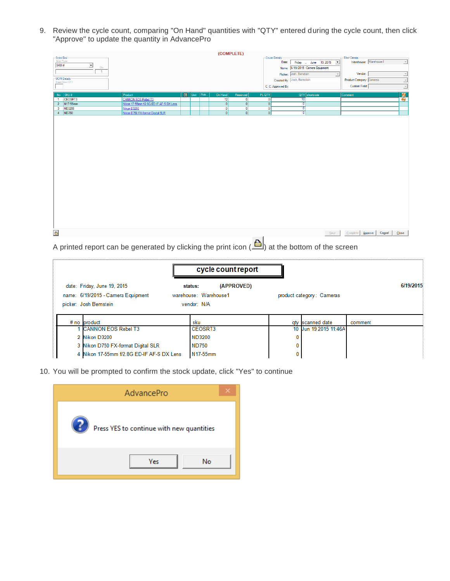9. Review the cycle count, comparing "On Hand" quantities with "QTY" entered during the cycle count, then click "Approve" to update the quantity in AdvancePro

|                               |                |                                         |               |       |                | (COMPLETE)     |              |                                                   |                               |                      |
|-------------------------------|----------------|-----------------------------------------|---------------|-------|----------------|----------------|--------------|---------------------------------------------------|-------------------------------|----------------------|
|                               |                |                                         |               |       |                |                |              | Count Details                                     | Filter Criteria               |                      |
| Scan Box<br>Scan Type<br>SKU# |                |                                         |               |       |                |                |              | Friday , June 19, 2015<br>Date:<br>$\overline{ }$ | Warehouse: Warehouse1         | $\overline{v}$       |
|                               | 그<br>City      |                                         |               |       |                |                |              | Name: 6/19/2015 - Camera Equipment                |                               |                      |
|                               | $\overline{1}$ |                                         |               |       |                |                |              | Picker: Josh, Bemstein<br>$\mathbf{v}$            | Vendor:                       | 릐                    |
|                               | - UOM Details  |                                         |               |       |                |                |              | Created By: Josh, Bernstein                       | Product Category: Cameras     |                      |
|                               | BreakDown QTY  |                                         |               |       |                |                |              |                                                   |                               | $\frac{1}{\sqrt{2}}$ |
|                               |                |                                         |               |       |                |                |              | C. C. Approved By:                                | Custom Field:                 |                      |
|                               | No SKU#        | Product                                 | <b>B</b> Unit | Pick. | On Hand        | Reserved       | PL QTY       | QTY shortcode                                     | Comment                       | $\frac{1}{2}$        |
|                               | 1 CEOSRT3      | <b>CANNON EOS Rebel T3</b>              |               |       | 12             | $\bullet$      | $\mathbf{0}$ | 10                                                |                               |                      |
|                               | 2 N17-55mm     | Nikon 17-55mm f/2.8G ED-IF AF-S DX Lens |               |       | $\overline{0}$ | $\overline{0}$ | 0            | ⊽                                                 |                               |                      |
|                               | 3 ND3200       | Nikon D3200                             |               |       | $\bullet$      | $\circ$        | οľ           | ᅁ                                                 |                               |                      |
|                               | $4$ ND750      | Nikon D750 FX-format Digital SLR        |               |       | 0              | 0              | οľ           | न                                                 |                               |                      |
|                               |                |                                         |               |       |                |                |              |                                                   |                               |                      |
|                               |                |                                         |               |       |                |                |              |                                                   |                               |                      |
|                               |                |                                         |               |       |                |                |              |                                                   |                               |                      |
|                               |                |                                         |               |       |                |                |              |                                                   |                               |                      |
|                               |                |                                         |               |       |                |                |              |                                                   |                               |                      |
|                               |                |                                         |               |       |                |                |              |                                                   |                               |                      |
|                               |                |                                         |               |       |                |                |              |                                                   |                               |                      |
|                               |                |                                         |               |       |                |                |              |                                                   |                               |                      |
|                               |                |                                         |               |       |                |                |              |                                                   |                               |                      |
|                               |                |                                         |               |       |                |                |              |                                                   |                               |                      |
|                               |                |                                         |               |       |                |                |              |                                                   |                               |                      |
|                               |                |                                         |               |       |                |                |              |                                                   |                               |                      |
|                               |                |                                         |               |       |                |                |              |                                                   |                               |                      |
|                               |                |                                         |               |       |                |                |              |                                                   |                               |                      |
|                               |                |                                         |               |       |                |                |              |                                                   |                               |                      |
|                               |                |                                         |               |       |                |                |              |                                                   |                               |                      |
|                               |                |                                         |               |       |                |                |              |                                                   |                               |                      |
|                               |                |                                         |               |       |                |                |              |                                                   |                               |                      |
|                               |                |                                         |               |       |                |                |              |                                                   |                               |                      |
|                               |                |                                         |               |       |                |                |              |                                                   |                               |                      |
|                               |                |                                         |               |       |                |                |              |                                                   |                               |                      |
|                               |                |                                         |               |       |                |                |              |                                                   |                               |                      |
|                               |                |                                         |               |       |                |                |              |                                                   |                               |                      |
|                               |                |                                         |               |       |                |                |              |                                                   |                               |                      |
| $\triangleq$                  |                |                                         |               |       |                |                |              | Save                                              | Complete<br>Cancel<br>Approve | Close                |
|                               |                |                                         |               |       |                |                | $\mathbf{A}$ |                                                   |                               |                      |

A printed report can be generated by clicking the print icon  $\left( \frac{f}{f}\right)$  at the bottom of the screen

|                                    | cycle count report    |                           |         |           |
|------------------------------------|-----------------------|---------------------------|---------|-----------|
| date: Friday, June 19, 2015        | (APPROVED)<br>status: |                           |         | 6/19/2015 |
| name: 6/19/2015 - Camera Equipment | warehouse: Warehouse1 | product category: Cameras |         |           |
| picker: Josh Bernstein             | vendor: N/A           |                           |         |           |
|                                    |                       |                           |         |           |
|                                    |                       |                           |         |           |
| $# no$ product                     | sku                   | gty scanned date          | comment |           |
| <b>CANNON EOS Rebel T3</b>         | CEOSRT3               | 10 Jun 19 2015 11:46A     |         |           |
| 2 Nikon D3200                      | ND3200                |                           |         |           |
| 3 Nikon D750 FX-format Digital SLR | <b>ND750</b>          |                           |         |           |

10. You will be prompted to confirm the stock update, click "Yes" to continue

| AdvancePro                                |  |
|-------------------------------------------|--|
| Press YES to continue with new quantities |  |
| No<br>Yes                                 |  |